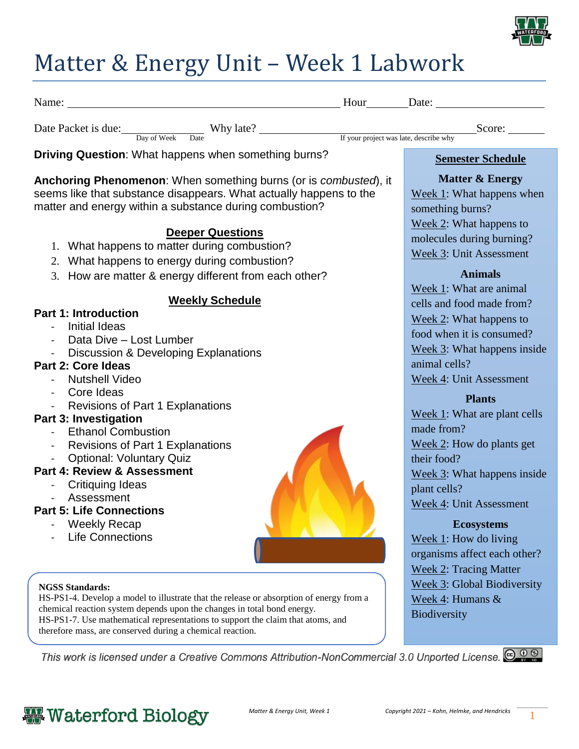

## Matter & Energy Unit – Week 1 Labwork

| Name: Name: Name: Name: Name: Name: Name: Name: Name: Name: Name: Name: Name: Name: Name: Name: Name: Name: Name: Name: Name: Name: Name: Name: Name: Name: Name: Name: Name: Name: Name: Name: Name: Name: Name: Name: Name:                                                                                                                                                                                                                                                                                       |                                                                                                                                                                                                                                                                                                                                    |
|---------------------------------------------------------------------------------------------------------------------------------------------------------------------------------------------------------------------------------------------------------------------------------------------------------------------------------------------------------------------------------------------------------------------------------------------------------------------------------------------------------------------|------------------------------------------------------------------------------------------------------------------------------------------------------------------------------------------------------------------------------------------------------------------------------------------------------------------------------------|
| Date Packet is due: Day of Week Date Why late? <u>Fyour project was late, describe why</u> Score:                                                                                                                                                                                                                                                                                                                                                                                                                   |                                                                                                                                                                                                                                                                                                                                    |
| <b>Driving Question:</b> What happens when something burns?                                                                                                                                                                                                                                                                                                                                                                                                                                                         | <b>Semester Schedule</b>                                                                                                                                                                                                                                                                                                           |
| Anchoring Phenomenon: When something burns (or is combusted), it<br>seems like that substance disappears. What actually happens to the<br>matter and energy within a substance during combustion?<br><b>Deeper Questions</b><br>1. What happens to matter during combustion?<br>2. What happens to energy during combustion?<br>3. How are matter & energy different from each other?<br><b>Weekly Schedule</b><br><b>Part 1: Introduction</b><br><b>Initial Ideas</b><br>Data Dive - Lost Lumber<br>$\blacksquare$ | <b>Matter &amp; Energy</b><br>Week 1: What happens when<br>something burns?<br>Week 2: What happens to<br>molecules during burning?<br>Week 3: Unit Assessment<br><b>Animals</b><br>Week 1: What are animal<br>cells and food made from?<br>Week $2$ : What happens to<br>food when it is consumed?<br>Week 3: What happens inside |
| Discussion & Developing Explanations<br><b>Part 2: Core Ideas</b><br><b>Nutshell Video</b><br>- Core Ideas                                                                                                                                                                                                                                                                                                                                                                                                          | animal cells?<br>Week 4: Unit Assessment<br><b>Plants</b>                                                                                                                                                                                                                                                                          |
| - Revisions of Part 1 Explanations<br>Part 3: Investigation<br><b>Ethanol Combustion</b><br>- Revisions of Part 1 Explanations<br><b>Optional: Voluntary Quiz</b><br><b>Part 4: Review &amp; Assessment</b><br><b>Critiquing Ideas</b>                                                                                                                                                                                                                                                                              | Week 1: What are plant cells<br>made from?<br>Week $2$ : How do plants get<br>their food?<br>Week 3: What happens inside<br>plant cells?                                                                                                                                                                                           |
| Assessment<br><b>Part 5: Life Connections</b><br><b>Weekly Recap</b><br><b>Life Connections</b>                                                                                                                                                                                                                                                                                                                                                                                                                     | Week 4: Unit Assessment<br><b>Ecosystems</b><br>Week $1$ : How do living<br>organisms affect each other?<br><b>Week 2: Tracing Matter</b>                                                                                                                                                                                          |
| <b>NGSS Standards:</b><br>HS-PS1-4. Develop a model to illustrate that the release or absorption of energy from a<br>chemical reaction system depends upon the changes in total bond energy.<br>HS-PS1-7. Use mathematical representations to support the claim that atoms, and<br>therefore mass, are conserved during a chemical reaction.                                                                                                                                                                        | Week 3: Global Biodiversity<br>Week 4: Humans &<br>Biodiversity                                                                                                                                                                                                                                                                    |

This work is licensed under a Creative Commons Attribution-NonCommercial 3.0 Unported License.  $\bigcirc$   $\circ$   $\circ$ 

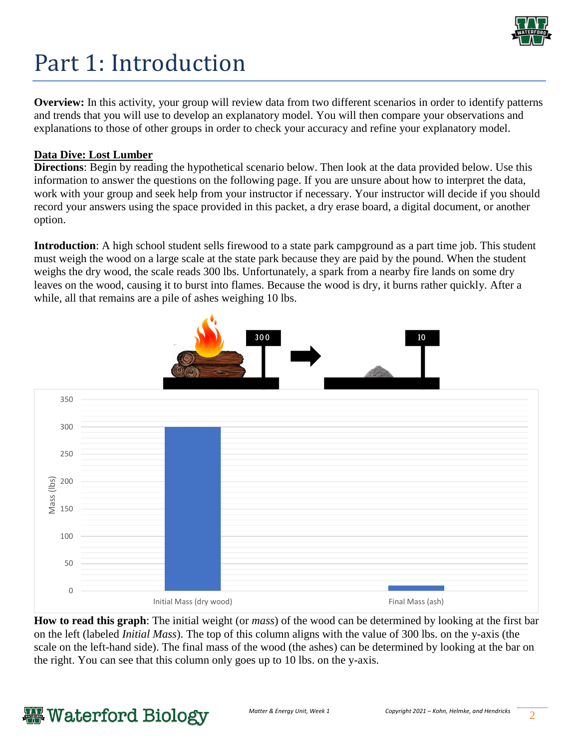

# Part 1: Introduction

**Overview:** In this activity, your group will review data from two different scenarios in order to identify patterns and trends that you will use to develop an explanatory model. You will then compare your observations and explanations to those of other groups in order to check your accuracy and refine your explanatory model.

### **Data Dive: Lost Lumber**

**Directions**: Begin by reading the hypothetical scenario below. Then look at the data provided below. Use this information to answer the questions on the following page. If you are unsure about how to interpret the data, work with your group and seek help from your instructor if necessary. Your instructor will decide if you should record your answers using the space provided in this packet, a dry erase board, a digital document, or another option.

**Introduction**: A high school student sells firewood to a state park campground as a part time job. This student must weigh the wood on a large scale at the state park because they are paid by the pound. When the student weighs the dry wood, the scale reads 300 lbs. Unfortunately, a spark from a nearby fire lands on some dry leaves on the wood, causing it to burst into flames. Because the wood is dry, it burns rather quickly. After a while, all that remains are a pile of ashes weighing 10 lbs.



**How to read this graph**: The initial weight (or *mass*) of the wood can be determined by looking at the first bar on the left (labeled *Initial Mass*). The top of this column aligns with the value of 300 lbs. on the y-axis (the scale on the left-hand side). The final mass of the wood (the ashes) can be determined by looking at the bar on the right. You can see that this column only goes up to 10 lbs. on the y-axis.

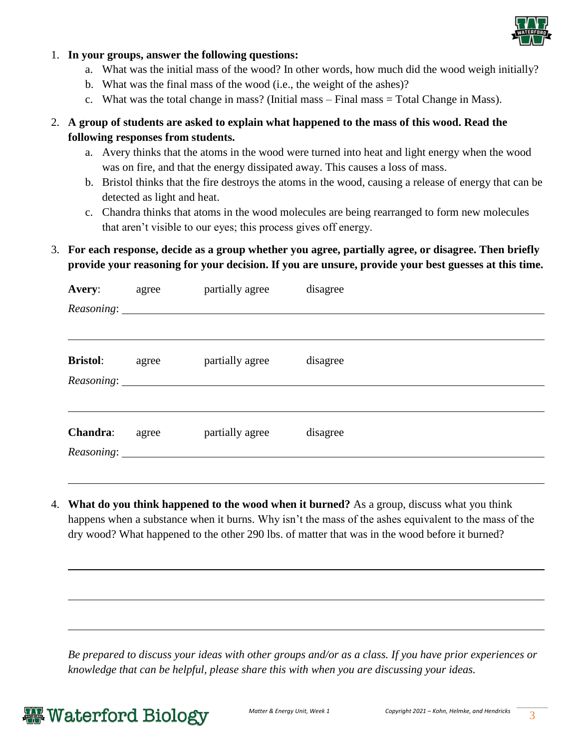

#### 1. **In your groups, answer the following questions:**

- a. What was the initial mass of the wood? In other words, how much did the wood weigh initially?
- b. What was the final mass of the wood (i.e., the weight of the ashes)?
- c. What was the total change in mass? (Initial mass Final mass = Total Change in Mass).

## 2. **A group of students are asked to explain what happened to the mass of this wood. Read the following responses from students.**

- a. Avery thinks that the atoms in the wood were turned into heat and light energy when the wood was on fire, and that the energy dissipated away. This causes a loss of mass.
- b. Bristol thinks that the fire destroys the atoms in the wood, causing a release of energy that can be detected as light and heat.
- c. Chandra thinks that atoms in the wood molecules are being rearranged to form new molecules that aren't visible to our eyes; this process gives off energy.

## 3. **For each response, decide as a group whether you agree, partially agree, or disagree. Then briefly provide your reasoning for your decision. If you are unsure, provide your best guesses at this time.**

| Avery:          | agree | partially agree | disagree |  |
|-----------------|-------|-----------------|----------|--|
|                 |       |                 |          |  |
|                 |       |                 |          |  |
| <b>Bristol:</b> | agree | partially agree | disagree |  |
|                 |       |                 |          |  |
| Chandra:        | agree | partially agree | disagree |  |
|                 |       |                 |          |  |

4. **What do you think happened to the wood when it burned?** As a group, discuss what you think happens when a substance when it burns. Why isn't the mass of the ashes equivalent to the mass of the dry wood? What happened to the other 290 lbs. of matter that was in the wood before it burned?

*Be prepared to discuss your ideas with other groups and/or as a class. If you have prior experiences or knowledge that can be helpful, please share this with when you are discussing your ideas.* 

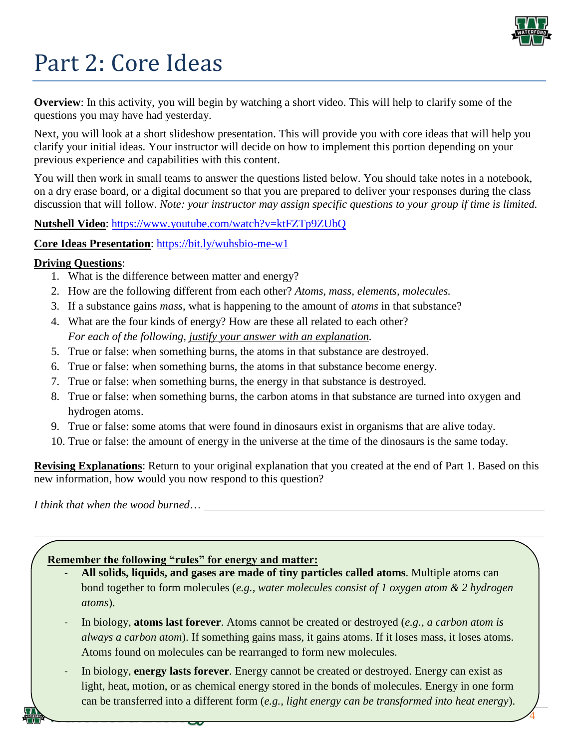

# Part 2: Core Ideas

**Overview**: In this activity, you will begin by watching a short video. This will help to clarify some of the questions you may have had yesterday.

Next, you will look at a short slideshow presentation. This will provide you with core ideas that will help you clarify your initial ideas. Your instructor will decide on how to implement this portion depending on your previous experience and capabilities with this content.

You will then work in small teams to answer the questions listed below. You should take notes in a notebook, on a dry erase board, or a digital document so that you are prepared to deliver your responses during the class discussion that will follow. *Note: your instructor may assign specific questions to your group if time is limited.* 

## **Nutshell Video**:<https://www.youtube.com/watch?v=ktFZTp9ZUbQ>

## **Core Ideas Presentation**: <https://bit.ly/wuhsbio-me-w1>

## **Driving Questions**:

- 1. What is the difference between matter and energy?
- 2. How are the following different from each other? *Atoms, mass, elements, molecules.*
- 3. If a substance gains *mass*, what is happening to the amount of *atoms* in that substance?
- 4. What are the four kinds of energy? How are these all related to each other? *For each of the following, justify your answer with an explanation.*
- 5. True or false: when something burns, the atoms in that substance are destroyed.
- 6. True or false: when something burns, the atoms in that substance become energy.
- 7. True or false: when something burns, the energy in that substance is destroyed.
- 8. True or false: when something burns, the carbon atoms in that substance are turned into oxygen and hydrogen atoms.
- 9. True or false: some atoms that were found in dinosaurs exist in organisms that are alive today.
- 10. True or false: the amount of energy in the universe at the time of the dinosaurs is the same today.

**Revising Explanations**: Return to your original explanation that you created at the end of Part 1. Based on this new information, how would you now respond to this question?

*I think that when the wood burned*…

## **Remember the following "rules" for energy and matter:**

- **All solids, liquids, and gases are made of tiny particles called atoms**. Multiple atoms can bond together to form molecules (*e.g., water molecules consist of 1 oxygen atom & 2 hydrogen atoms*).
- In biology, **atoms last forever**. Atoms cannot be created or destroyed (*e.g., a carbon atom is always a carbon atom*). If something gains mass, it gains atoms. If it loses mass, it loses atoms. Atoms found on molecules can be rearranged to form new molecules.
- In biology, **energy lasts forever**. Energy cannot be created or destroyed. Energy can exist as light, heat, motion, or as chemical energy stored in the bonds of molecules. Energy in one form can be transferred into a different form (*e.g., light energy can be transformed into heat energy*).

*Matter & Energy Unit, Week 1 Copyright 2021 – Kohn, Helmke, and Hendricks* 4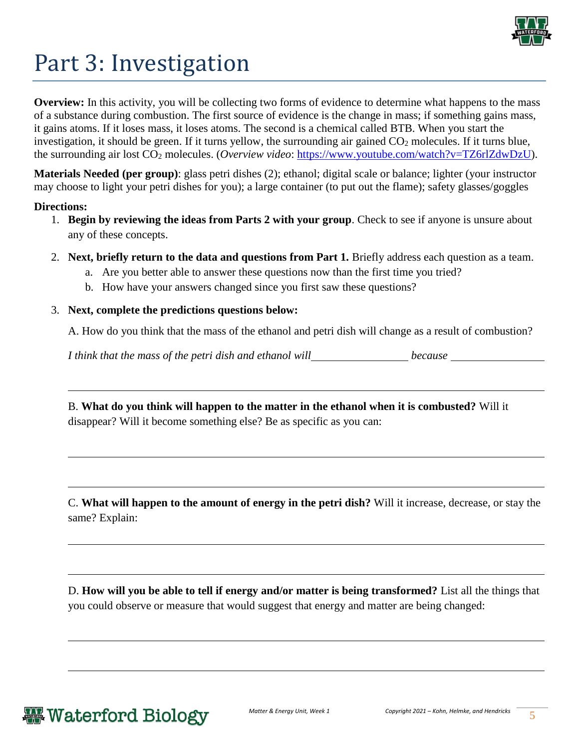

# Part 3: Investigation

**Overview:** In this activity, you will be collecting two forms of evidence to determine what happens to the mass of a substance during combustion. The first source of evidence is the change in mass; if something gains mass, it gains atoms. If it loses mass, it loses atoms. The second is a chemical called BTB. When you start the investigation, it should be green. If it turns yellow, the surrounding air gained  $CO<sub>2</sub>$  molecules. If it turns blue, the surrounding air lost CO<sup>2</sup> molecules. (*Overview video*: [https://www.youtube.com/watch?v=TZ6rlZdwDzU\)](https://www.youtube.com/watch?v=TZ6rlZdwDzU).

**Materials Needed (per group)**: glass petri dishes (2); ethanol; digital scale or balance; lighter (your instructor may choose to light your petri dishes for you); a large container (to put out the flame); safety glasses/goggles

#### **Directions:**

- 1. **Begin by reviewing the ideas from Parts 2 with your group**. Check to see if anyone is unsure about any of these concepts.
- 2. **Next, briefly return to the data and questions from Part 1.** Briefly address each question as a team.
	- a. Are you better able to answer these questions now than the first time you tried?
	- b. How have your answers changed since you first saw these questions?

### 3. **Next, complete the predictions questions below:**

A. How do you think that the mass of the ethanol and petri dish will change as a result of combustion?

*I think that the mass of the petri dish and ethanol will because because* 

B. **What do you think will happen to the matter in the ethanol when it is combusted?** Will it disappear? Will it become something else? Be as specific as you can:

C. **What will happen to the amount of energy in the petri dish?** Will it increase, decrease, or stay the same? Explain:

D. **How will you be able to tell if energy and/or matter is being transformed?** List all the things that you could observe or measure that would suggest that energy and matter are being changed:

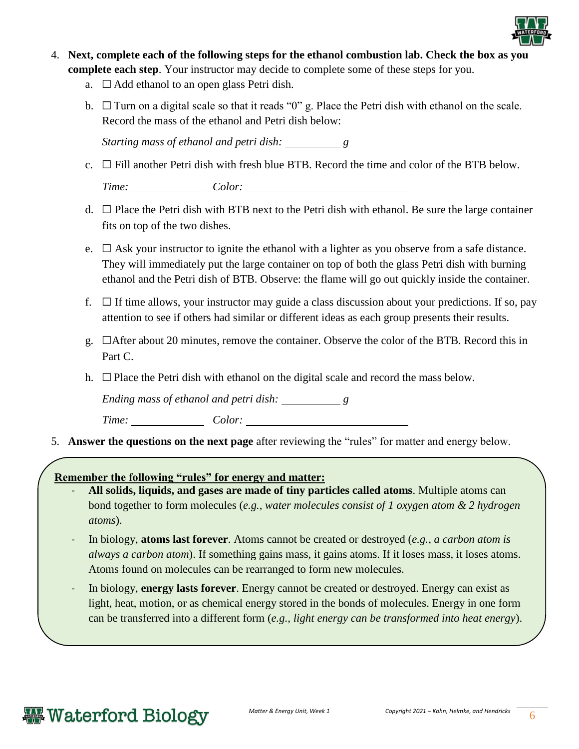

- 4. **Next, complete each of the following steps for the ethanol combustion lab. Check the box as you complete each step**. Your instructor may decide to complete some of these steps for you.
	- a.  $\Box$  Add ethanol to an open glass Petri dish.
	- b.  $\Box$  Turn on a digital scale so that it reads "0" g. Place the Petri dish with ethanol on the scale. Record the mass of the ethanol and Petri dish below:

*Starting mass of ethanol and petri dish: g*

c.  $\Box$  Fill another Petri dish with fresh blue BTB. Record the time and color of the BTB below.

*Time: Color:* 

- d.  $\Box$  Place the Petri dish with BTB next to the Petri dish with ethanol. Be sure the large container fits on top of the two dishes.
- e.  $\Box$  Ask your instructor to ignite the ethanol with a lighter as you observe from a safe distance. They will immediately put the large container on top of both the glass Petri dish with burning ethanol and the Petri dish of BTB. Observe: the flame will go out quickly inside the container.
- f.  $\Box$  If time allows, your instructor may guide a class discussion about your predictions. If so, pay attention to see if others had similar or different ideas as each group presents their results.
- g. □After about 20 minutes, remove the container. Observe the color of the BTB. Record this in Part C.
- h.  $\Box$  Place the Petri dish with ethanol on the digital scale and record the mass below.

*Ending mass of ethanol and petri dish: g*

*Time: Color:* 

5. **Answer the questions on the next page** after reviewing the "rules" for matter and energy below.

## **Remember the following "rules" for energy and matter:**

- **All solids, liquids, and gases are made of tiny particles called atoms**. Multiple atoms can bond together to form molecules (*e.g., water molecules consist of 1 oxygen atom & 2 hydrogen atoms*).
- In biology, **atoms last forever**. Atoms cannot be created or destroyed (*e.g., a carbon atom is always a carbon atom*). If something gains mass, it gains atoms. If it loses mass, it loses atoms. Atoms found on molecules can be rearranged to form new molecules.
- In biology, **energy lasts forever**. Energy cannot be created or destroyed. Energy can exist as light, heat, motion, or as chemical energy stored in the bonds of molecules. Energy in one form can be transferred into a different form (*e.g., light energy can be transformed into heat energy*).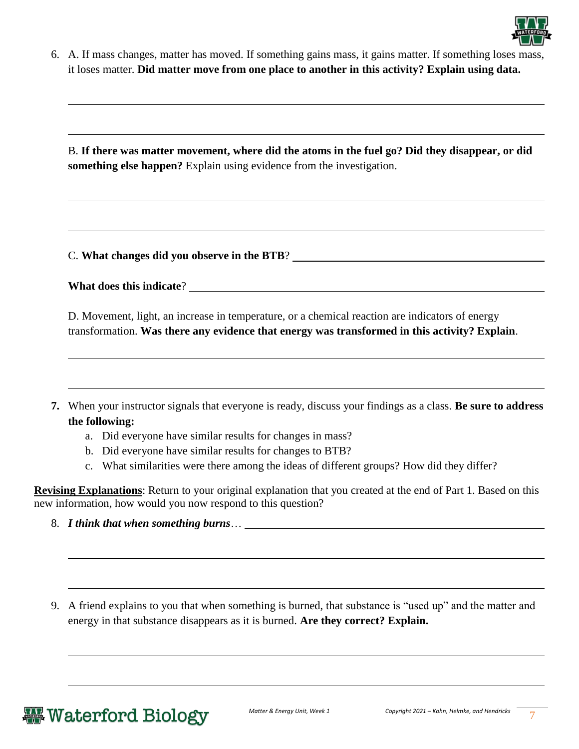

6. A. If mass changes, matter has moved. If something gains mass, it gains matter. If something loses mass, it loses matter. **Did matter move from one place to another in this activity? Explain using data.** 

B. **If there was matter movement, where did the atoms in the fuel go? Did they disappear, or did something else happen?** Explain using evidence from the investigation.

C. **What changes did you observe in the BTB**?

|  | What does this indicate? |
|--|--------------------------|
|  |                          |

D. Movement, light, an increase in temperature, or a chemical reaction are indicators of energy transformation. **Was there any evidence that energy was transformed in this activity? Explain**.

- **7.** When your instructor signals that everyone is ready, discuss your findings as a class. **Be sure to address the following:** 
	- a. Did everyone have similar results for changes in mass?
	- b. Did everyone have similar results for changes to BTB?
	- c. What similarities were there among the ideas of different groups? How did they differ?

**Revising Explanations**: Return to your original explanation that you created at the end of Part 1. Based on this new information, how would you now respond to this question?

- 8. *I think that when something burns*…
- 9. A friend explains to you that when something is burned, that substance is "used up" and the matter and energy in that substance disappears as it is burned. **Are they correct? Explain.**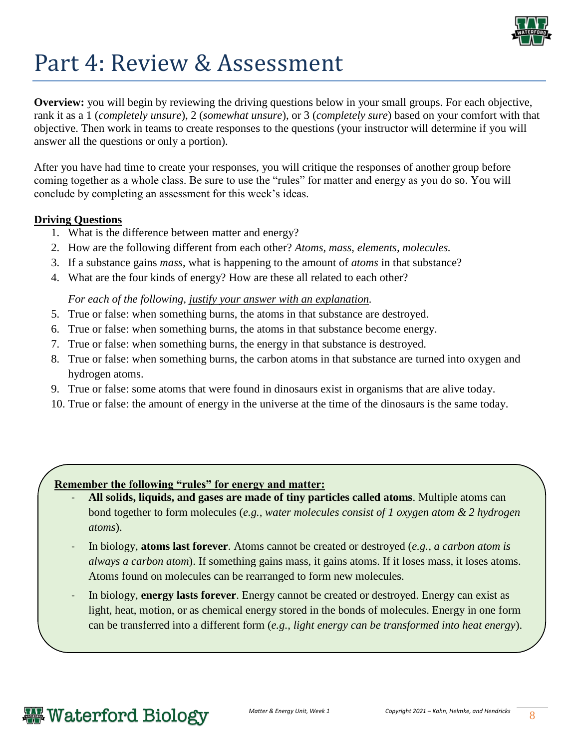

## Part 4: Review & Assessment

**Overview:** you will begin by reviewing the driving questions below in your small groups. For each objective, rank it as a 1 (*completely unsure*), 2 (*somewhat unsure*), or 3 (*completely sure*) based on your comfort with that objective. Then work in teams to create responses to the questions (your instructor will determine if you will answer all the questions or only a portion).

After you have had time to create your responses, you will critique the responses of another group before coming together as a whole class. Be sure to use the "rules" for matter and energy as you do so. You will conclude by completing an assessment for this week's ideas.

### **Driving Questions**

- 1. What is the difference between matter and energy?
- 2. How are the following different from each other? *Atoms, mass, elements, molecules.*
- 3. If a substance gains *mass*, what is happening to the amount of *atoms* in that substance?
- 4. What are the four kinds of energy? How are these all related to each other?

### *For each of the following, justify your answer with an explanation.*

- 5. True or false: when something burns, the atoms in that substance are destroyed.
- 6. True or false: when something burns, the atoms in that substance become energy.
- 7. True or false: when something burns, the energy in that substance is destroyed.
- 8. True or false: when something burns, the carbon atoms in that substance are turned into oxygen and hydrogen atoms.
- 9. True or false: some atoms that were found in dinosaurs exist in organisms that are alive today.
- 10. True or false: the amount of energy in the universe at the time of the dinosaurs is the same today.

## **Remember the following "rules" for energy and matter:**

- All solids, liquids, and gases are made of tiny particles called atoms. Multiple atoms can bond together to form molecules (*e.g., water molecules consist of 1 oxygen atom & 2 hydrogen atoms*).
- In biology, **atoms last forever**. Atoms cannot be created or destroyed (*e.g., a carbon atom is always a carbon atom*). If something gains mass, it gains atoms. If it loses mass, it loses atoms. Atoms found on molecules can be rearranged to form new molecules.
- In biology, **energy lasts forever**. Energy cannot be created or destroyed. Energy can exist as light, heat, motion, or as chemical energy stored in the bonds of molecules. Energy in one form can be transferred into a different form (*e.g., light energy can be transformed into heat energy*).